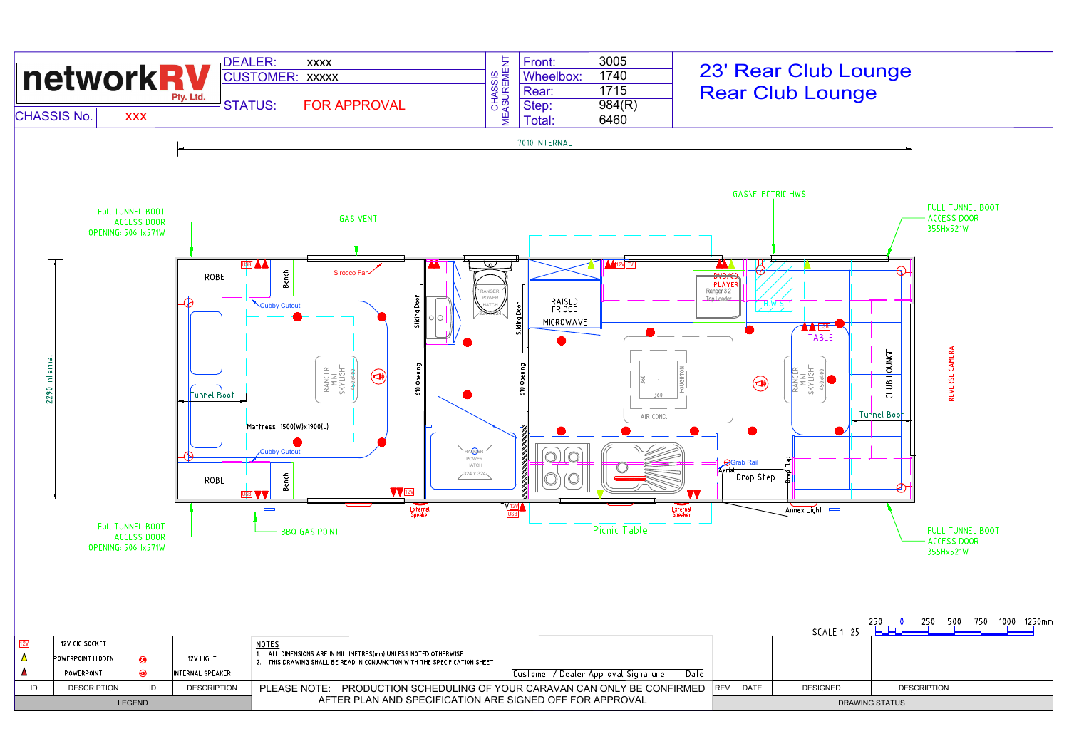